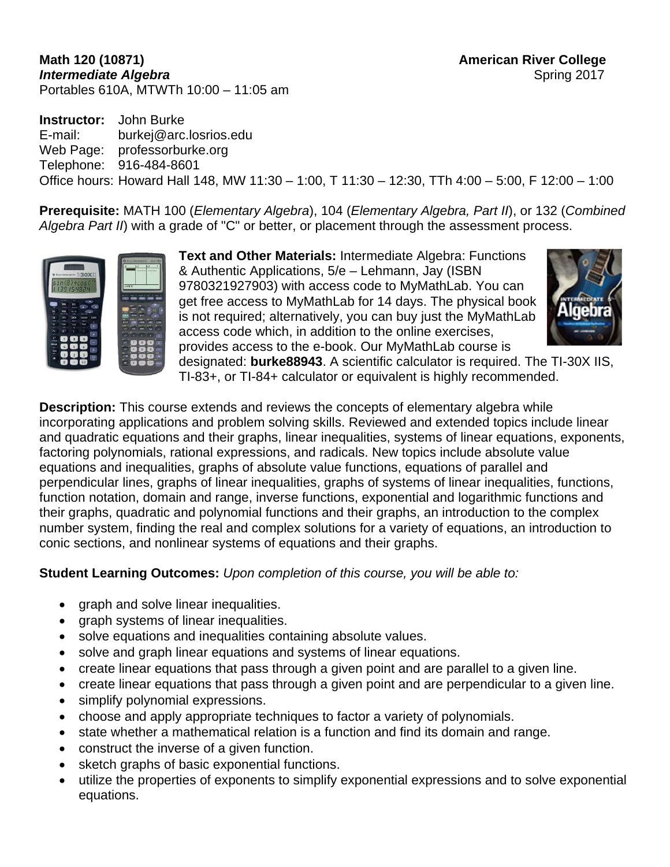#### **Math 120 (10871) American River College Intermediate Algebra** Spring 2017 Portables 610A, MTWTh 10:00 – 11:05 am

**Instructor:** John Burke E-mail: burkej@arc.losrios.edu Web Page: professorburke.org Telephone: 916-484-8601 Office hours: Howard Hall 148, MW 11:30 – 1:00, T 11:30 – 12:30, TTh 4:00 – 5:00, F 12:00 – 1:00

**Prerequisite:** MATH 100 (*Elementary Algebra*), 104 (*Elementary Algebra, Part II*), or 132 (*Combined Algebra Part II*) with a grade of "C" or better, or placement through the assessment process.



**Text and Other Materials:** Intermediate Algebra: Functions & Authentic Applications, 5/e – Lehmann, Jay (ISBN 9780321927903) with access code to MyMathLab. You can get free access to MyMathLab for 14 days. The physical book is not required; alternatively, you can buy just the MyMathLab access code which, in addition to the online exercises, provides access to the e-book. Our MyMathLab course is



designated: **burke88943**. A scientific calculator is required. The TI-30X IIS, TI-83+, or TI-84+ calculator or equivalent is highly recommended.

**Description:** This course extends and reviews the concepts of elementary algebra while incorporating applications and problem solving skills. Reviewed and extended topics include linear and quadratic equations and their graphs, linear inequalities, systems of linear equations, exponents, factoring polynomials, rational expressions, and radicals. New topics include absolute value equations and inequalities, graphs of absolute value functions, equations of parallel and perpendicular lines, graphs of linear inequalities, graphs of systems of linear inequalities, functions, function notation, domain and range, inverse functions, exponential and logarithmic functions and their graphs, quadratic and polynomial functions and their graphs, an introduction to the complex number system, finding the real and complex solutions for a variety of equations, an introduction to conic sections, and nonlinear systems of equations and their graphs.

**Student Learning Outcomes:** *Upon completion of this course, you will be able to:* 

- graph and solve linear inequalities.
- graph systems of linear inequalities.
- solve equations and inequalities containing absolute values.
- solve and graph linear equations and systems of linear equations.
- create linear equations that pass through a given point and are parallel to a given line.
- create linear equations that pass through a given point and are perpendicular to a given line.
- simplify polynomial expressions.
- choose and apply appropriate techniques to factor a variety of polynomials.
- state whether a mathematical relation is a function and find its domain and range.
- construct the inverse of a given function.
- sketch graphs of basic exponential functions.
- utilize the properties of exponents to simplify exponential expressions and to solve exponential equations.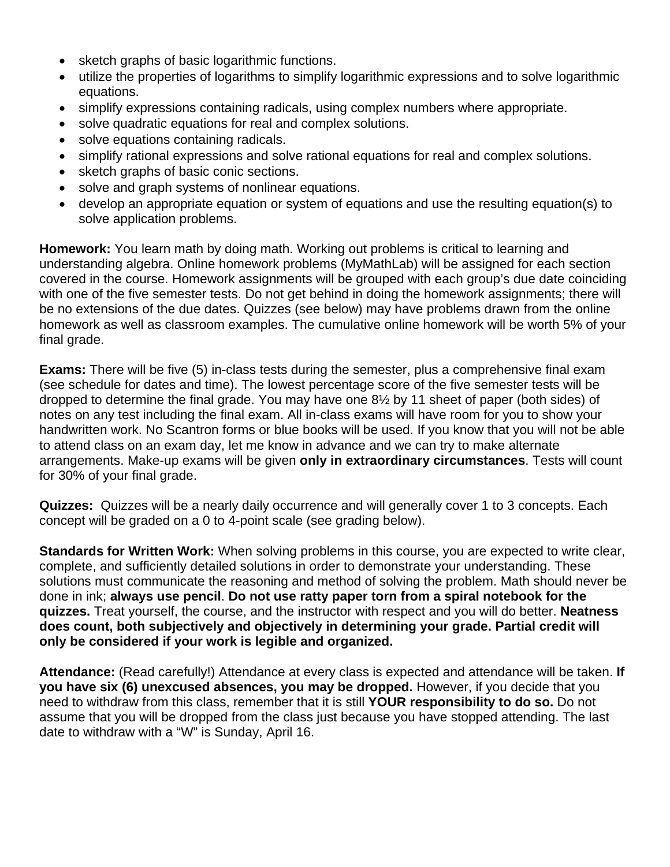- sketch graphs of basic logarithmic functions.
- utilize the properties of logarithms to simplify logarithmic expressions and to solve logarithmic equations.
- simplify expressions containing radicals, using complex numbers where appropriate.
- solve quadratic equations for real and complex solutions.
- solve equations containing radicals.
- simplify rational expressions and solve rational equations for real and complex solutions.
- sketch graphs of basic conic sections.
- solve and graph systems of nonlinear equations.
- develop an appropriate equation or system of equations and use the resulting equation(s) to solve application problems.

**Homework:** You learn math by doing math. Working out problems is critical to learning and understanding algebra. Online homework problems (MyMathLab) will be assigned for each section covered in the course. Homework assignments will be grouped with each group's due date coinciding with one of the five semester tests. Do not get behind in doing the homework assignments; there will be no extensions of the due dates. Quizzes (see below) may have problems drawn from the online homework as well as classroom examples. The cumulative online homework will be worth 5% of your final grade.

**Exams:** There will be five (5) in-class tests during the semester, plus a comprehensive final exam (see schedule for dates and time). The lowest percentage score of the five semester tests will be dropped to determine the final grade. You may have one 8½ by 11 sheet of paper (both sides) of notes on any test including the final exam. All in-class exams will have room for you to show your handwritten work. No Scantron forms or blue books will be used. If you know that you will not be able to attend class on an exam day, let me know in advance and we can try to make alternate arrangements. Make-up exams will be given **only in extraordinary circumstances**. Tests will count for 30% of your final grade.

**Quizzes:** Quizzes will be a nearly daily occurrence and will generally cover 1 to 3 concepts. Each concept will be graded on a 0 to 4-point scale (see grading below).

**Standards for Written Work:** When solving problems in this course, you are expected to write clear, complete, and sufficiently detailed solutions in order to demonstrate your understanding. These solutions must communicate the reasoning and method of solving the problem. Math should never be done in ink; **always use pencil**. **Do not use ratty paper torn from a spiral notebook for the quizzes.** Treat yourself, the course, and the instructor with respect and you will do better. **Neatness does count, both subjectively and objectively in determining your grade. Partial credit will only be considered if your work is legible and organized.** 

**Attendance:** (Read carefully!) Attendance at every class is expected and attendance will be taken. **If you have six (6) unexcused absences, you may be dropped.** However, if you decide that you need to withdraw from this class, remember that it is still **YOUR responsibility to do so.** Do not assume that you will be dropped from the class just because you have stopped attending. The last date to withdraw with a "W" is Sunday, April 16.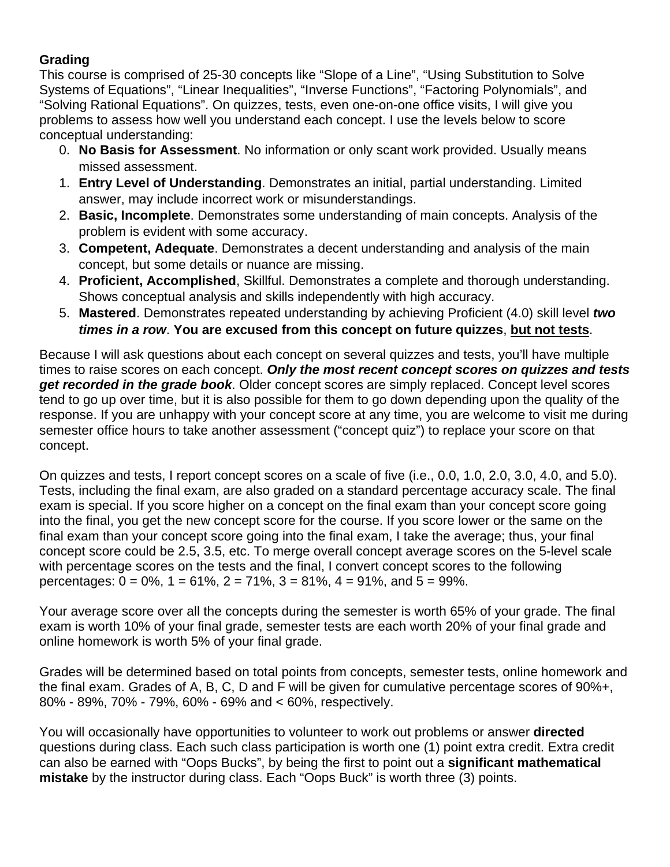### **Grading**

This course is comprised of 25-30 concepts like "Slope of a Line", "Using Substitution to Solve Systems of Equations", "Linear Inequalities", "Inverse Functions", "Factoring Polynomials", and "Solving Rational Equations". On quizzes, tests, even one-on-one office visits, I will give you problems to assess how well you understand each concept. I use the levels below to score conceptual understanding:

- 0. **No Basis for Assessment**. No information or only scant work provided. Usually means missed assessment.
- 1. **Entry Level of Understanding**. Demonstrates an initial, partial understanding. Limited answer, may include incorrect work or misunderstandings.
- 2. **Basic, Incomplete**. Demonstrates some understanding of main concepts. Analysis of the problem is evident with some accuracy.
- 3. **Competent, Adequate**. Demonstrates a decent understanding and analysis of the main concept, but some details or nuance are missing.
- 4. **Proficient, Accomplished**, Skillful. Demonstrates a complete and thorough understanding. Shows conceptual analysis and skills independently with high accuracy.
- 5. **Mastered**. Demonstrates repeated understanding by achieving Proficient (4.0) skill level *two times in a row*. **You are excused from this concept on future quizzes**, **but not tests**.

Because I will ask questions about each concept on several quizzes and tests, you'll have multiple times to raise scores on each concept. *Only the most recent concept scores on quizzes and tests get recorded in the grade book*. Older concept scores are simply replaced. Concept level scores tend to go up over time, but it is also possible for them to go down depending upon the quality of the response. If you are unhappy with your concept score at any time, you are welcome to visit me during semester office hours to take another assessment ("concept quiz") to replace your score on that concept.

On quizzes and tests, I report concept scores on a scale of five (i.e., 0.0, 1.0, 2.0, 3.0, 4.0, and 5.0). Tests, including the final exam, are also graded on a standard percentage accuracy scale. The final exam is special. If you score higher on a concept on the final exam than your concept score going into the final, you get the new concept score for the course. If you score lower or the same on the final exam than your concept score going into the final exam, I take the average; thus, your final concept score could be 2.5, 3.5, etc. To merge overall concept average scores on the 5-level scale with percentage scores on the tests and the final, I convert concept scores to the following percentages:  $0 = 0\%$ ,  $1 = 61\%$ ,  $2 = 71\%$ ,  $3 = 81\%$ ,  $4 = 91\%$ , and  $5 = 99\%$ .

Your average score over all the concepts during the semester is worth 65% of your grade. The final exam is worth 10% of your final grade, semester tests are each worth 20% of your final grade and online homework is worth 5% of your final grade.

Grades will be determined based on total points from concepts, semester tests, online homework and the final exam. Grades of A, B, C, D and F will be given for cumulative percentage scores of 90%+, 80% - 89%, 70% - 79%, 60% - 69% and < 60%, respectively.

You will occasionally have opportunities to volunteer to work out problems or answer **directed**  questions during class. Each such class participation is worth one (1) point extra credit. Extra credit can also be earned with "Oops Bucks", by being the first to point out a **significant mathematical mistake** by the instructor during class. Each "Oops Buck" is worth three (3) points.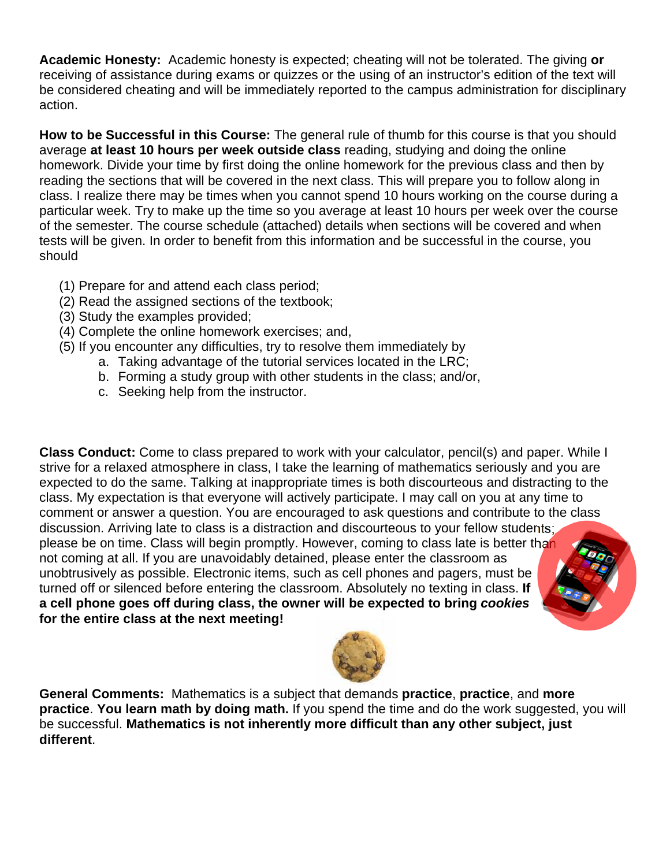**Academic Honesty:** Academic honesty is expected; cheating will not be tolerated. The giving **or** receiving of assistance during exams or quizzes or the using of an instructor's edition of the text will be considered cheating and will be immediately reported to the campus administration for disciplinary action.

**How to be Successful in this Course:** The general rule of thumb for this course is that you should average **at least 10 hours per week outside class** reading, studying and doing the online homework. Divide your time by first doing the online homework for the previous class and then by reading the sections that will be covered in the next class. This will prepare you to follow along in class. I realize there may be times when you cannot spend 10 hours working on the course during a particular week. Try to make up the time so you average at least 10 hours per week over the course of the semester. The course schedule (attached) details when sections will be covered and when tests will be given. In order to benefit from this information and be successful in the course, you should

- (1) Prepare for and attend each class period;
- (2) Read the assigned sections of the textbook;
- (3) Study the examples provided;
- (4) Complete the online homework exercises; and,
- (5) If you encounter any difficulties, try to resolve them immediately by
	- a. Taking advantage of the tutorial services located in the LRC;
	- b. Forming a study group with other students in the class; and/or,
	- c. Seeking help from the instructor.

**Class Conduct:** Come to class prepared to work with your calculator, pencil(s) and paper. While I strive for a relaxed atmosphere in class, I take the learning of mathematics seriously and you are expected to do the same. Talking at inappropriate times is both discourteous and distracting to the class. My expectation is that everyone will actively participate. I may call on you at any time to comment or answer a question. You are encouraged to ask questions and contribute to the class discussion. Arriving late to class is a distraction and discourteous to your fellow students; please be on time. Class will begin promptly. However, coming to class late is better than not coming at all. If you are unavoidably detained, please enter the classroom as unobtrusively as possible. Electronic items, such as cell phones and pagers, must be turned off or silenced before entering the classroom. Absolutely no texting in class. **If a cell phone goes off during class, the owner will be expected to bring** *cookies* **for the entire class at the next meeting!**



**General Comments:** Mathematics is a subject that demands **practice**, **practice**, and **more practice**. **You learn math by doing math.** If you spend the time and do the work suggested, you will be successful. **Mathematics is not inherently more difficult than any other subject, just different**.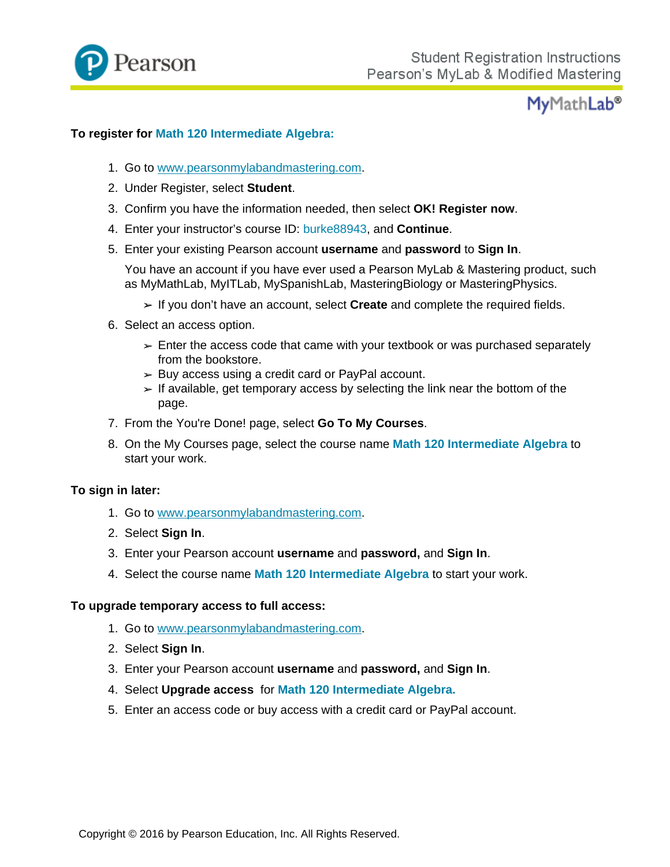

## **MyMathLab®**

#### **To register for Math 120 Intermediate Algebra:**

- 1. Go to www.pearsonmylabandmastering.com.
- 2. Under Register, select **Student**.
- 3. Confirm you have the information needed, then select **OK! Register now**.
- 4. Enter your instructor's course ID: burke88943, and **Continue**.
- 5. Enter your existing Pearson account **username** and **password** to **Sign In**.

You have an account if you have ever used a Pearson MyLab & Mastering product, such as MyMathLab, MyITLab, MySpanishLab, MasteringBiology or MasteringPhysics.

- If you don't have an account, select **Create** and complete the required fields.
- 6. Select an access option.
	- $\ge$  Enter the access code that came with your textbook or was purchased separately from the bookstore.
	- $\geq$  Buy access using a credit card or PayPal account.
	- $\geq$  If available, get temporary access by selecting the link near the bottom of the page.
- 7. From the You're Done! page, select **Go To My Courses**.
- 8. On the My Courses page, select the course name **Math 120 Intermediate Algebra** to start your work.

#### **To sign in later:**

- 1. Go to www.pearsonmylabandmastering.com.
- 2. Select **Sign In**.
- 3. Enter your Pearson account **username** and **password,** and **Sign In**.
- 4. Select the course name **Math 120 Intermediate Algebra** to start your work.

#### **To upgrade temporary access to full access:**

- 1. Go to www.pearsonmylabandmastering.com.
- 2. Select **Sign In**.
- 3. Enter your Pearson account **username** and **password,** and **Sign In**.
- 4. Select **Upgrade access** for **Math 120 Intermediate Algebra.**
- 5. Enter an access code or buy access with a credit card or PayPal account.